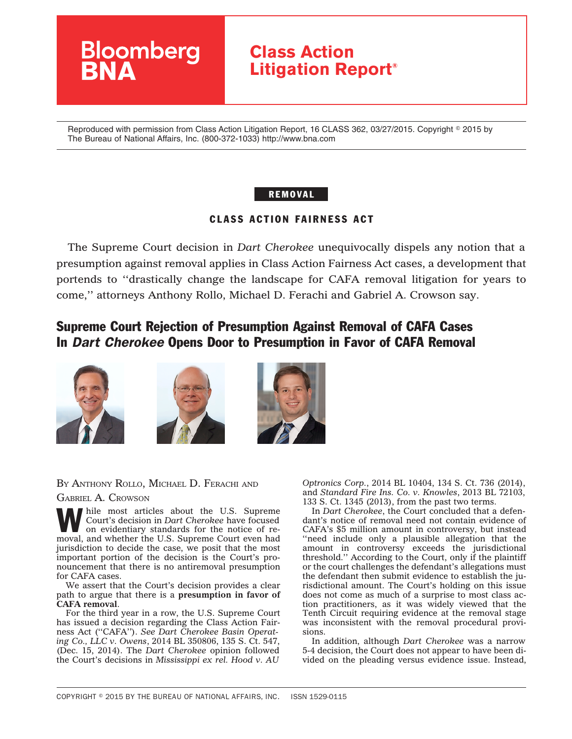

Reproduced with permission from Class Action Litigation Report, 16 CLASS 362, 03/27/2015. Copyright © 2015 by The Bureau of National Affairs, Inc. (800-372-1033) http://www.bna.com

## REMOVAL

## CLASS ACTION FAIRNESS ACT

The Supreme Court decision in *Dart Cherokee* unequivocally dispels any notion that a presumption against removal applies in Class Action Fairness Act cases, a development that portends to ''drastically change the landscape for CAFA removal litigation for years to come,'' attorneys Anthony Rollo, Michael D. Ferachi and Gabriel A. Crowson say.

# Supreme Court Rejection of Presumption Against Removal of CAFA Cases In *Dart Cherokee* Opens Door to Presumption in Favor of CAFA Removal







### BY ANTHONY ROLLO, MICHAEL D. FERACHI AND

#### GABRIEL A. CROWSON

hile most articles about the U.S. Supreme Court's decision in *Dart Cherokee* have focused on evidentiary standards for the notice of removal, and whether the U.S. Supreme Court even had jurisdiction to decide the case, we posit that the most important portion of the decision is the Court's pronouncement that there is no antiremoval presumption for CAFA cases.

We assert that the Court's decision provides a clear path to argue that there is a **presumption in favor of CAFA removal**.

For the third year in a row, the U.S. Supreme Court has issued a decision regarding the Class Action Fairness Act (''CAFA''). *See Dart Cherokee Basin Operating Co., LLC v. Owens*, 2014 BL 350806, 135 S. Ct. 547, (Dec. 15, 2014). The *Dart Cherokee* opinion followed the Court's decisions in *Mississippi ex rel. Hood v. AU*

*Optronics Corp.*, 2014 BL 10404, 134 S. Ct. 736 (2014), and *Standard Fire Ins. Co. v. Knowles*, 2013 BL 72103, 133 S. Ct. 1345 (2013), from the past two terms.

In *Dart Cherokee*, the Court concluded that a defendant's notice of removal need not contain evidence of CAFA's \$5 million amount in controversy, but instead ''need include only a plausible allegation that the amount in controversy exceeds the jurisdictional threshold.'' According to the Court, only if the plaintiff or the court challenges the defendant's allegations must the defendant then submit evidence to establish the jurisdictional amount. The Court's holding on this issue does not come as much of a surprise to most class action practitioners, as it was widely viewed that the Tenth Circuit requiring evidence at the removal stage was inconsistent with the removal procedural provisions.

In addition, although *Dart Cherokee* was a narrow 5-4 decision, the Court does not appear to have been divided on the pleading versus evidence issue. Instead,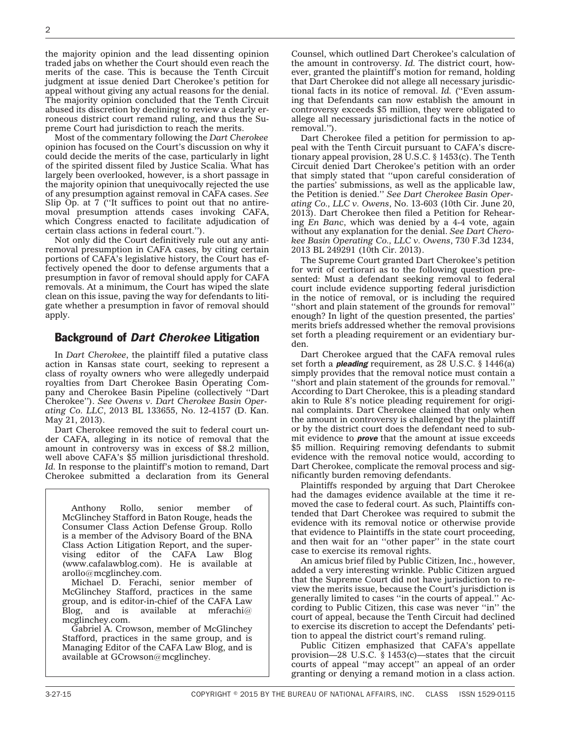the majority opinion and the lead dissenting opinion traded jabs on whether the Court should even reach the merits of the case. This is because the Tenth Circuit judgment at issue denied Dart Cherokee's petition for appeal without giving any actual reasons for the denial. The majority opinion concluded that the Tenth Circuit abused its discretion by declining to review a clearly erroneous district court remand ruling, and thus the Supreme Court had jurisdiction to reach the merits.

Most of the commentary following the *Dart Cherokee* opinion has focused on the Court's discussion on why it could decide the merits of the case, particularly in light of the spirited dissent filed by Justice Scalia. What has largely been overlooked, however, is a short passage in the majority opinion that unequivocally rejected the use of any presumption against removal in CAFA cases. *See* Slip  $Op.$  at 7 ("It suffices to point out that no antiremoval presumption attends cases invoking CAFA, which Congress enacted to facilitate adjudication of certain class actions in federal court.'').

Not only did the Court definitively rule out any antiremoval presumption in CAFA cases, by citing certain portions of CAFA's legislative history, the Court has effectively opened the door to defense arguments that a presumption in favor of removal should apply for CAFA removals. At a minimum, the Court has wiped the slate clean on this issue, paving the way for defendants to litigate whether a presumption in favor of removal should apply.

#### Background of *Dart Cherokee* Litigation

In *Dart Cherokee*, the plaintiff filed a putative class action in Kansas state court, seeking to represent a class of royalty owners who were allegedly underpaid royalties from Dart Cherokee Basin Operating Company and Cherokee Basin Pipeline (collectively ''Dart Cherokee''). *See Owens v. Dart Cherokee Basin Operating Co. LLC*, 2013 BL 133655, No. 12-4157 (D. Kan. May 21, 2013).

Dart Cherokee removed the suit to federal court under CAFA, alleging in its notice of removal that the amount in controversy was in excess of \$8.2 million, well above CAFA's \$5 million jurisdictional threshold. *Id.* In response to the plaintiff's motion to remand, Dart Cherokee submitted a declaration from its General

Anthony Rollo, senior member of McGlinchey Stafford in Baton Rouge, heads the Consumer Class Action Defense Group. Rollo is a member of the Advisory Board of the BNA Class Action Litigation Report, and the supervising editor of the CAFA Law Blog (www.cafalawblog.com). He is available at arollo@mcglinchey.com.

Michael D. Ferachi, senior member of McGlinchey Stafford, practices in the same group, and is editor-in-chief of the CAFA Law<br>Blog, and is available at mferachi@ Blog, and is mcglinchey.com.

Gabriel A. Crowson, member of McGlinchey Stafford, practices in the same group, and is Managing Editor of the CAFA Law Blog, and is available at GCrowson@mcglinchey.

Counsel, which outlined Dart Cherokee's calculation of the amount in controversy. *Id.* The district court, however, granted the plaintiff's motion for remand, holding that Dart Cherokee did not allege all necessary jurisdictional facts in its notice of removal. *Id.* (''Even assuming that Defendants can now establish the amount in controversy exceeds \$5 million, they were obligated to allege all necessary jurisdictional facts in the notice of removal.'').

Dart Cherokee filed a petition for permission to appeal with the Tenth Circuit pursuant to CAFA's discretionary appeal provision, 28 U.S.C. § 1453(c). The Tenth Circuit denied Dart Cherokee's petition with an order that simply stated that ''upon careful consideration of the parties' submissions, as well as the applicable law, the Petition is denied.'' *See Dart Cherokee Basin Operating Co., LLC v. Owens*, No. 13-603 (10th Cir. June 20, 2013). Dart Cherokee then filed a Petition for Rehearing *En Banc*, which was denied by a 4-4 vote, again without any explanation for the denial. *See Dart Cherokee Basin Operating Co., LLC v. Owens*, 730 F.3d 1234, 2013 BL 249291 (10th Cir. 2013).

The Supreme Court granted Dart Cherokee's petition for writ of certiorari as to the following question presented: Must a defendant seeking removal to federal court include evidence supporting federal jurisdiction in the notice of removal, or is including the required ''short and plain statement of the grounds for removal'' enough? In light of the question presented, the parties' merits briefs addressed whether the removal provisions set forth a pleading requirement or an evidentiary burden.

Dart Cherokee argued that the CAFA removal rules set forth a *pleading* requirement, as 28 U.S.C. § 1446(a) simply provides that the removal notice must contain a ''short and plain statement of the grounds for removal.'' According to Dart Cherokee, this is a pleading standard akin to Rule 8's notice pleading requirement for original complaints. Dart Cherokee claimed that only when the amount in controversy is challenged by the plaintiff or by the district court does the defendant need to submit evidence to *prove* that the amount at issue exceeds \$5 million. Requiring removing defendants to submit evidence with the removal notice would, according to Dart Cherokee, complicate the removal process and significantly burden removing defendants.

Plaintiffs responded by arguing that Dart Cherokee had the damages evidence available at the time it removed the case to federal court. As such, Plaintiffs contended that Dart Cherokee was required to submit the evidence with its removal notice or otherwise provide that evidence to Plaintiffs in the state court proceeding, and then wait for an ''other paper'' in the state court case to exercise its removal rights.

An amicus brief filed by Public Citizen, Inc., however, added a very interesting wrinkle. Public Citizen argued that the Supreme Court did not have jurisdiction to review the merits issue, because the Court's jurisdiction is generally limited to cases ''in the courts of appeal.'' According to Public Citizen, this case was never ''in'' the court of appeal, because the Tenth Circuit had declined to exercise its discretion to accept the Defendants' petition to appeal the district court's remand ruling.

Public Citizen emphasized that CAFA's appellate provision—28 U.S.C. § 1453(c)—states that the circuit courts of appeal ''may accept'' an appeal of an order granting or denying a remand motion in a class action.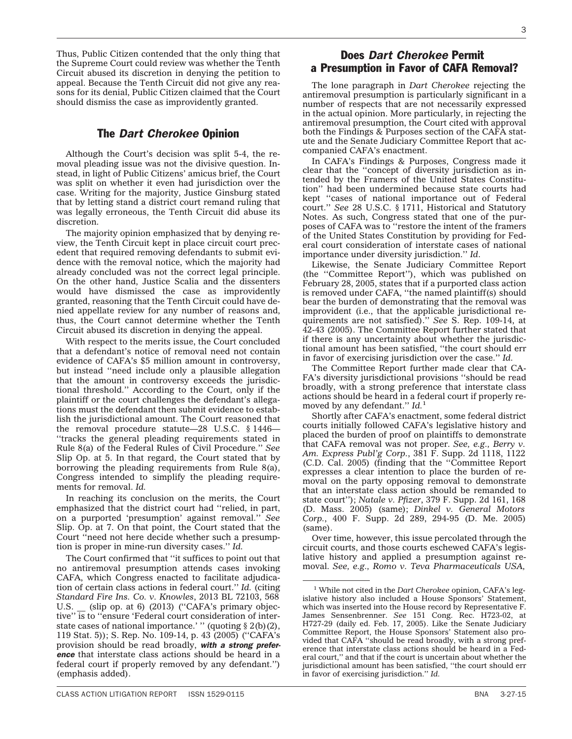Thus, Public Citizen contended that the only thing that the Supreme Court could review was whether the Tenth Circuit abused its discretion in denying the petition to appeal. Because the Tenth Circuit did not give any reasons for its denial, Public Citizen claimed that the Court should dismiss the case as improvidently granted.

## The *Dart Cherokee* Opinion

Although the Court's decision was split 5-4, the removal pleading issue was not the divisive question. Instead, in light of Public Citizens' amicus brief, the Court was split on whether it even had jurisdiction over the case. Writing for the majority, Justice Ginsburg stated that by letting stand a district court remand ruling that was legally erroneous, the Tenth Circuit did abuse its discretion.

The majority opinion emphasized that by denying review, the Tenth Circuit kept in place circuit court precedent that required removing defendants to submit evidence with the removal notice, which the majority had already concluded was not the correct legal principle. On the other hand, Justice Scalia and the dissenters would have dismissed the case as improvidently granted, reasoning that the Tenth Circuit could have denied appellate review for any number of reasons and, thus, the Court cannot determine whether the Tenth Circuit abused its discretion in denying the appeal.

With respect to the merits issue, the Court concluded that a defendant's notice of removal need not contain evidence of CAFA's \$5 million amount in controversy, but instead ''need include only a plausible allegation that the amount in controversy exceeds the jurisdictional threshold.'' According to the Court, only if the plaintiff or the court challenges the defendant's allegations must the defendant then submit evidence to establish the jurisdictional amount. The Court reasoned that the removal procedure statute—28 U.S.C. § 1446— ''tracks the general pleading requirements stated in Rule 8(a) of the Federal Rules of Civil Procedure.'' *See* Slip Op. at 5. In that regard, the Court stated that by borrowing the pleading requirements from Rule 8(a), Congress intended to simplify the pleading requirements for removal. *Id.*

In reaching its conclusion on the merits, the Court emphasized that the district court had ''relied, in part, on a purported 'presumption' against removal.'' *See* Slip. Op. at 7. On that point, the Court stated that the Court ''need not here decide whether such a presumption is proper in mine-run diversity cases.'' *Id.*

The Court confirmed that ''it suffices to point out that no antiremoval presumption attends cases invoking CAFA, which Congress enacted to facilitate adjudication of certain class actions in federal court.'' *Id.* (citing *Standard Fire Ins. Co. v. Knowles*, 2013 BL 72103, 568 U.S. \_ (slip op. at 6) (2013) ("CAFA's primary objective'' is to ''ensure 'Federal court consideration of interstate cases of national importance.' " (quoting § 2(b)(2), 119 Stat. 5)); S. Rep. No. 109-14, p. 43 (2005) (''CAFA's provision should be read broadly, *with a strong preference* that interstate class actions should be heard in a federal court if properly removed by any defendant.'') (emphasis added).

## Does *Dart Cherokee* Permit a Presumption in Favor of CAFA Removal?

The lone paragraph in *Dart Cherokee* rejecting the antiremoval presumption is particularly significant in a number of respects that are not necessarily expressed in the actual opinion. More particularly, in rejecting the antiremoval presumption, the Court cited with approval both the Findings & Purposes section of the CAFA statute and the Senate Judiciary Committee Report that accompanied CAFA's enactment.

In CAFA's Findings & Purposes, Congress made it clear that the ''concept of diversity jurisdiction as intended by the Framers of the United States Constitution'' had been undermined because state courts had kept ''cases of national importance out of Federal court.'' *See* 28 U.S.C. § 1711, Historical and Statutory Notes. As such, Congress stated that one of the purposes of CAFA was to ''restore the intent of the framers of the United States Constitution by providing for Federal court consideration of interstate cases of national importance under diversity jurisdiction.'' *Id*.

Likewise, the Senate Judiciary Committee Report (the ''Committee Report''), which was published on February 28, 2005, states that if a purported class action is removed under CAFA, ''the named plaintiff(s) should bear the burden of demonstrating that the removal was improvident (i.e., that the applicable jurisdictional requirements are not satisfied).'' *See* S. Rep. 109-14, at 42-43 (2005). The Committee Report further stated that if there is any uncertainty about whether the jurisdictional amount has been satisfied, ''the court should err in favor of exercising jurisdiction over the case.'' *Id.*

The Committee Report further made clear that CA-FA's diversity jurisdictional provisions ''should be read broadly, with a strong preference that interstate class actions should be heard in a federal court if properly removed by any defendant.'' *Id.*<sup>1</sup>

Shortly after CAFA's enactment, some federal district courts initially followed CAFA's legislative history and placed the burden of proof on plaintiffs to demonstrate that CAFA removal was not proper. *See, e.g., Berry v. Am. Express Publ'g Corp.*, 381 F. Supp. 2d 1118, 1122 (C.D. Cal. 2005) (finding that the ''Committee Report expresses a clear intention to place the burden of removal on the party opposing removal to demonstrate that an interstate class action should be remanded to state court''); *Natale v. Pfizer*, 379 F. Supp. 2d 161, 168 (D. Mass. 2005) (same); *Dinkel v. General Motors Corp.*, 400 F. Supp. 2d 289, 294-95 (D. Me. 2005) (same).

Over time, however, this issue percolated through the circuit courts, and those courts eschewed CAFA's legislative history and applied a presumption against removal. *See, e.g., Romo v. Teva Pharmaceuticals USA,*

<sup>&</sup>lt;sup>1</sup> While not cited in the *Dart Cherokee* opinion, CAFA's legislative history also included a House Sponsors' Statement, which was inserted into the House record by Representative F. James Sensenbrenner. *See* 151 Cong. Rec. H723-02, at H727-29 (daily ed. Feb. 17, 2005). Like the Senate Judiciary Committee Report, the House Sponsors' Statement also provided that CAFA "should be read broadly, with a strong preference that interstate class actions should be heard in a Federal court,'' and that if the court is uncertain about whether the jurisdictional amount has been satisfied, ''the court should err in favor of exercising jurisdiction.'' *Id.*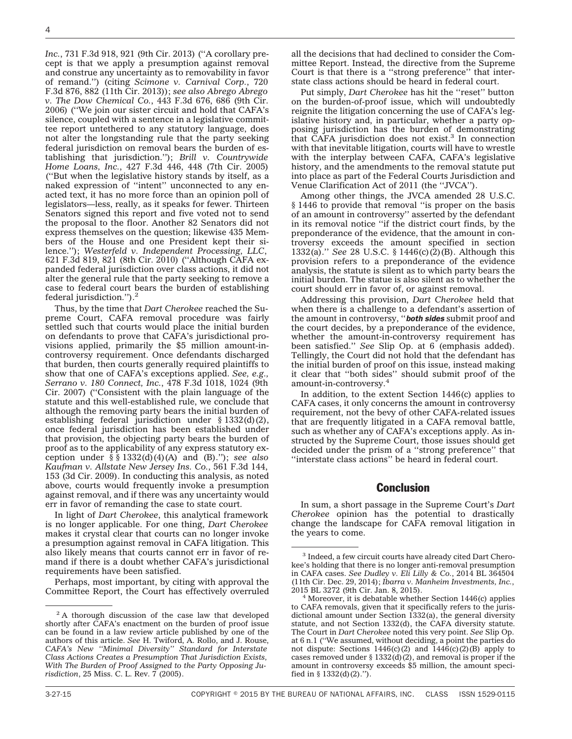*Inc.*, 731 F.3d 918, 921 (9th Cir. 2013) (''A corollary precept is that we apply a presumption against removal and construe any uncertainty as to removability in favor of remand.'') (citing *Scimone v. Carnival Corp.*, 720 F.3d 876, 882 (11th Cir. 2013)); *see also Abrego Abrego v. The Dow Chemical Co.*, 443 F.3d 676, 686 (9th Cir. 2006) (''We join our sister circuit and hold that CAFA's silence, coupled with a sentence in a legislative committee report untethered to any statutory language, does not alter the longstanding rule that the party seeking federal jurisdiction on removal bears the burden of establishing that jurisdiction.''); *Brill v. Countrywide Home Loans, Inc.*, 427 F.3d 446, 448 (7th Cir. 2005) (''But when the legislative history stands by itself, as a naked expression of ''intent'' unconnected to any enacted text, it has no more force than an opinion poll of legislators—less, really, as it speaks for fewer. Thirteen Senators signed this report and five voted not to send the proposal to the floor. Another 82 Senators did not express themselves on the question; likewise 435 Members of the House and one President kept their silence.''); *Westerfeld v. Independent Processing, LLC*, 621 F.3d 819, 821 (8th Cir. 2010) (''Although CAFA expanded federal jurisdiction over class actions, it did not alter the general rule that the party seeking to remove a case to federal court bears the burden of establishing federal jurisdiction.'').2

Thus, by the time that *Dart Cherokee* reached the Supreme Court, CAFA removal procedure was fairly settled such that courts would place the initial burden on defendants to prove that CAFA's jurisdictional provisions applied, primarily the \$5 million amount-incontroversy requirement. Once defendants discharged that burden, then courts generally required plaintiffs to show that one of CAFA's exceptions applied. *See, e.g., Serrano v. 180 Connect, Inc.*, 478 F.3d 1018, 1024 (9th Cir. 2007) (''Consistent with the plain language of the statute and this well-established rule, we conclude that although the removing party bears the initial burden of establishing federal jurisdiction under  $\S$  1332(d)(2), once federal jurisdiction has been established under that provision, the objecting party bears the burden of proof as to the applicability of any express statutory exception under § § 1332(d)(4)(A) and (B).''); *see also Kaufman v. Allstate New Jersey Ins. Co.*, 561 F.3d 144, 153 (3d Cir. 2009). In conducting this analysis, as noted above, courts would frequently invoke a presumption against removal, and if there was any uncertainty would err in favor of remanding the case to state court.

In light of *Dart Cherokee*, this analytical framework is no longer applicable. For one thing, *Dart Cherokee* makes it crystal clear that courts can no longer invoke a presumption against removal in CAFA litigation. This also likely means that courts cannot err in favor of remand if there is a doubt whether CAFA's jurisdictional requirements have been satisfied.

Perhaps, most important, by citing with approval the Committee Report, the Court has effectively overruled all the decisions that had declined to consider the Committee Report. Instead, the directive from the Supreme Court is that there is a ''strong preference'' that interstate class actions should be heard in federal court.

Put simply, *Dart Cherokee* has hit the ''reset'' button on the burden-of-proof issue, which will undoubtedly reignite the litigation concerning the use of CAFA's legislative history and, in particular, whether a party opposing jurisdiction has the burden of demonstrating that CAFA jurisdiction does not exist. $3$  In connection with that inevitable litigation, courts will have to wrestle with the interplay between CAFA, CAFA's legislative history, and the amendments to the removal statute put into place as part of the Federal Courts Jurisdiction and Venue Clarification Act of 2011 (the ''JVCA'').

Among other things, the JVCA amended 28 U.S.C. § 1446 to provide that removal ''is proper on the basis of an amount in controversy'' asserted by the defendant in its removal notice ''if the district court finds, by the preponderance of the evidence, that the amount in controversy exceeds the amount specified in section 1332(a).'' *See* 28 U.S.C. § 1446(c)(2)(B). Although this provision refers to a preponderance of the evidence analysis, the statute is silent as to which party bears the initial burden. The statue is also silent as to whether the court should err in favor of, or against removal.

Addressing this provision, *Dart Cherokee* held that when there is a challenge to a defendant's assertion of the amount in controversy, ''*both sides* submit proof and the court decides, by a preponderance of the evidence, whether the amount-in-controversy requirement has been satisfied.'' *See* Slip Op. at 6 (emphasis added). Tellingly, the Court did not hold that the defendant has the initial burden of proof on this issue, instead making it clear that ''both sides'' should submit proof of the amount-in-controversy.4

In addition, to the extent Section 1446(c) applies to CAFA cases, it only concerns the amount in controversy requirement, not the bevy of other CAFA-related issues that are frequently litigated in a CAFA removal battle, such as whether any of CAFA's exceptions apply. As instructed by the Supreme Court, those issues should get decided under the prism of a ''strong preference'' that ''interstate class actions'' be heard in federal court.

#### Conclusion

In sum, a short passage in the Supreme Court's *Dart Cherokee* opinion has the potential to drastically change the landscape for CAFA removal litigation in the years to come.

<sup>&</sup>lt;sup>2</sup>A thorough discussion of the case law that developed shortly after CAFA's enactment on the burden of proof issue can be found in a law review article published by one of the authors of this article. *See* H. Twiford, A. Rollo, and J. Rouse, *CAFA's New ''Minimal Diversity'' Standard for Interstate Class Actions Creates a Presumption That Jurisdiction Exists, With The Burden of Proof Assigned to the Party Opposing Jurisdiction*, 25 Miss. C. L. Rev. 7 (2005).

<sup>3</sup> Indeed, a few circuit courts have already cited Dart Cherokee's holding that there is no longer anti-removal presumption in CAFA cases. *See Dudley v. Eli Lilly & Co.*, 2014 BL 364504 (11th Cir. Dec. 29, 2014); *Ibarra v. Manheim Investments, Inc.*,

 $4$  Moreover, it is debatable whether Section 1446(c) applies to CAFA removals, given that it specifically refers to the jurisdictional amount under Section 1332(a), the general diversity statute, and not Section 1332(d), the CAFA diversity statute. The Court in *Dart Cherokee* noted this very point. *See* Slip Op. at 6 n.1 (''We assumed, without deciding, a point the parties do not dispute: Sections  $1446(c)(2)$  and  $1446(c)(2)(B)$  apply to cases removed under § 1332(d)(2), and removal is proper if the amount in controversy exceeds \$5 million, the amount specified in  $\S$  1332(d)(2).").